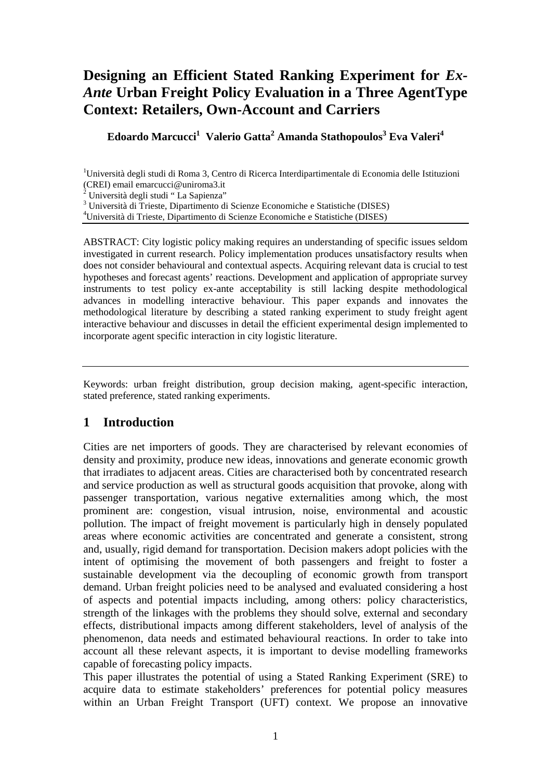# **Designing an Efficient Stated Ranking Experiment for** *Ex-Ante* **Urban Freight Policy Evaluation in a Three AgentType Context: Retailers, Own-Account and Carriers**

**Edoardo Marcucci<sup>1</sup>Valerio Gatta<sup>2</sup> Amanda Stathopoulos<sup>3</sup> Eva Valeri<sup>4</sup>**

<sup>1</sup>Università degli studi di Roma 3, Centro di Ricerca Interdipartimentale di Economia delle Istituzioni (CREI) email emarcucci@uniroma3.it 2 Università degli studi " La Sapienza"

3 Università di Trieste, Dipartimento di Scienze Economiche e Statistiche (DISES)

<sup>4</sup>Università di Trieste, Dipartimento di Scienze Economiche e Statistiche (DISES)

ABSTRACT: City logistic policy making requires an understanding of specific issues seldom investigated in current research. Policy implementation produces unsatisfactory results when does not consider behavioural and contextual aspects. Acquiring relevant data is crucial to test hypotheses and forecast agents' reactions. Development and application of appropriate survey instruments to test policy ex-ante acceptability is still lacking despite methodological advances in modelling interactive behaviour. This paper expands and innovates the methodological literature by describing a stated ranking experiment to study freight agent interactive behaviour and discusses in detail the efficient experimental design implemented to incorporate agent specific interaction in city logistic literature.

Keywords: urban freight distribution, group decision making, agent-specific interaction, stated preference, stated ranking experiments.

## **1 Introduction**

Cities are net importers of goods. They are characterised by relevant economies of density and proximity, produce new ideas, innovations and generate economic growth that irradiates to adjacent areas. Cities are characterised both by concentrated research and service production as well as structural goods acquisition that provoke, along with passenger transportation, various negative externalities among which, the most prominent are: congestion, visual intrusion, noise, environmental and acoustic pollution. The impact of freight movement is particularly high in densely populated areas where economic activities are concentrated and generate a consistent, strong and, usually, rigid demand for transportation. Decision makers adopt policies with the intent of optimising the movement of both passengers and freight to foster a sustainable development via the decoupling of economic growth from transport demand. Urban freight policies need to be analysed and evaluated considering a host of aspects and potential impacts including, among others: policy characteristics, strength of the linkages with the problems they should solve, external and secondary effects, distributional impacts among different stakeholders, level of analysis of the phenomenon, data needs and estimated behavioural reactions. In order to take into account all these relevant aspects, it is important to devise modelling frameworks capable of forecasting policy impacts.

This paper illustrates the potential of using a Stated Ranking Experiment (SRE) to acquire data to estimate stakeholders' preferences for potential policy measures within an Urban Freight Transport (UFT) context. We propose an innovative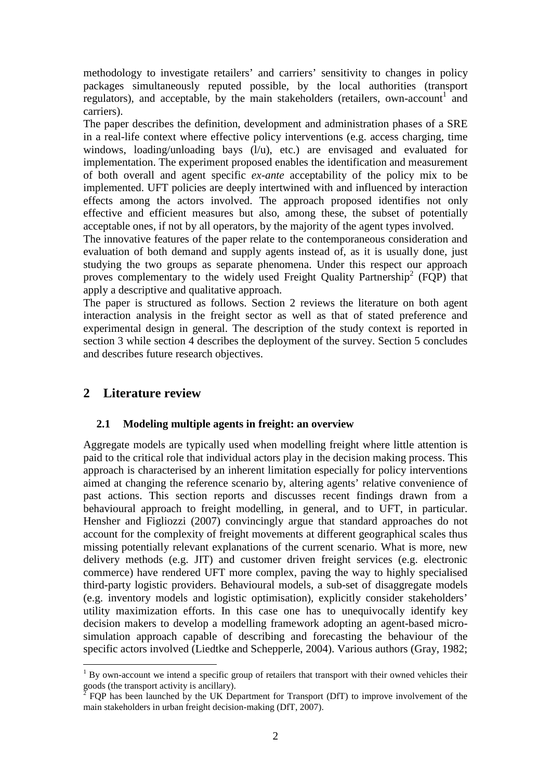methodology to investigate retailers' and carriers' sensitivity to changes in policy packages simultaneously reputed possible, by the local authorities (transport regulators), and acceptable, by the main stakeholders (retailers, own-account<sup>1</sup> and carriers).

The paper describes the definition, development and administration phases of a SRE in a real-life context where effective policy interventions (e.g. access charging, time windows, loading/unloading bays  $(l/u)$ , etc.) are envisaged and evaluated for implementation. The experiment proposed enables the identification and measurement of both overall and agent specific *ex-ante* acceptability of the policy mix to be implemented. UFT policies are deeply intertwined with and influenced by interaction effects among the actors involved. The approach proposed identifies not only effective and efficient measures but also, among these, the subset of potentially acceptable ones, if not by all operators, by the majority of the agent types involved.

The innovative features of the paper relate to the contemporaneous consideration and evaluation of both demand and supply agents instead of, as it is usually done, just studying the two groups as separate phenomena. Under this respect our approach proves complementary to the widely used Freight Quality Partnership<sup>2</sup> (FQP) that apply a descriptive and qualitative approach.

The paper is structured as follows. Section 2 reviews the literature on both agent interaction analysis in the freight sector as well as that of stated preference and experimental design in general. The description of the study context is reported in section 3 while section 4 describes the deployment of the survey. Section 5 concludes and describes future research objectives.

## **2 Literature review**

 $\overline{a}$ 

#### **2.1 Modeling multiple agents in freight: an overview**

Aggregate models are typically used when modelling freight where little attention is paid to the critical role that individual actors play in the decision making process. This approach is characterised by an inherent limitation especially for policy interventions aimed at changing the reference scenario by, altering agents' relative convenience of past actions. This section reports and discusses recent findings drawn from a behavioural approach to freight modelling, in general, and to UFT, in particular. Hensher and Figliozzi (2007) convincingly argue that standard approaches do not account for the complexity of freight movements at different geographical scales thus missing potentially relevant explanations of the current scenario. What is more, new delivery methods (e.g. JIT) and customer driven freight services (e.g. electronic commerce) have rendered UFT more complex, paving the way to highly specialised third-party logistic providers. Behavioural models, a sub-set of disaggregate models (e.g. inventory models and logistic optimisation), explicitly consider stakeholders' utility maximization efforts. In this case one has to unequivocally identify key decision makers to develop a modelling framework adopting an agent-based microsimulation approach capable of describing and forecasting the behaviour of the specific actors involved (Liedtke and Schepperle, 2004). Various authors (Gray, 1982;

<sup>1</sup> By own-account we intend a specific group of retailers that transport with their owned vehicles their goods (the transport activity is ancillary).<br> $^{2}$  EOB has been launched by the LIK Des

FQP has been launched by the UK Department for Transport (DfT) to improve involvement of the main stakeholders in urban freight decision-making (DfT, 2007).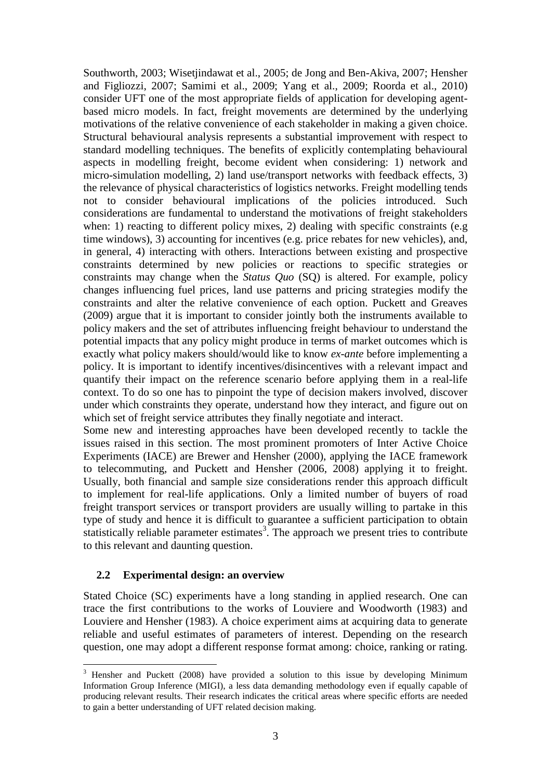Southworth, 2003; Wisetjindawat et al., 2005; de Jong and Ben-Akiva, 2007; Hensher and Figliozzi, 2007; Samimi et al., 2009; Yang et al., 2009; Roorda et al., 2010) consider UFT one of the most appropriate fields of application for developing agentbased micro models. In fact, freight movements are determined by the underlying motivations of the relative convenience of each stakeholder in making a given choice. Structural behavioural analysis represents a substantial improvement with respect to standard modelling techniques. The benefits of explicitly contemplating behavioural aspects in modelling freight, become evident when considering: 1) network and micro-simulation modelling, 2) land use/transport networks with feedback effects, 3) the relevance of physical characteristics of logistics networks. Freight modelling tends not to consider behavioural implications of the policies introduced. Such considerations are fundamental to understand the motivations of freight stakeholders when: 1) reacting to different policy mixes, 2) dealing with specific constraints (e.g. time windows), 3) accounting for incentives (e.g. price rebates for new vehicles), and, in general, 4) interacting with others. Interactions between existing and prospective constraints determined by new policies or reactions to specific strategies or constraints may change when the *Status Quo* (SQ) is altered. For example, policy changes influencing fuel prices, land use patterns and pricing strategies modify the constraints and alter the relative convenience of each option. Puckett and Greaves (2009) argue that it is important to consider jointly both the instruments available to policy makers and the set of attributes influencing freight behaviour to understand the potential impacts that any policy might produce in terms of market outcomes which is exactly what policy makers should/would like to know *ex-ante* before implementing a policy. It is important to identify incentives/disincentives with a relevant impact and quantify their impact on the reference scenario before applying them in a real-life context. To do so one has to pinpoint the type of decision makers involved, discover under which constraints they operate, understand how they interact, and figure out on which set of freight service attributes they finally negotiate and interact.

Some new and interesting approaches have been developed recently to tackle the issues raised in this section. The most prominent promoters of Inter Active Choice Experiments (IACE) are Brewer and Hensher (2000), applying the IACE framework to telecommuting, and Puckett and Hensher (2006, 2008) applying it to freight. Usually, both financial and sample size considerations render this approach difficult to implement for real-life applications. Only a limited number of buyers of road freight transport services or transport providers are usually willing to partake in this type of study and hence it is difficult to guarantee a sufficient participation to obtain statistically reliable parameter estimates<sup>3</sup>. The approach we present tries to contribute to this relevant and daunting question.

#### **2.2 Experimental design: an overview**

 $\overline{a}$ 

Stated Choice (SC) experiments have a long standing in applied research. One can trace the first contributions to the works of Louviere and Woodworth (1983) and Louviere and Hensher (1983). A choice experiment aims at acquiring data to generate reliable and useful estimates of parameters of interest. Depending on the research question, one may adopt a different response format among: choice, ranking or rating.

<sup>3</sup> Hensher and Puckett (2008) have provided a solution to this issue by developing Minimum Information Group Inference (MIGI), a less data demanding methodology even if equally capable of producing relevant results. Their research indicates the critical areas where specific efforts are needed to gain a better understanding of UFT related decision making.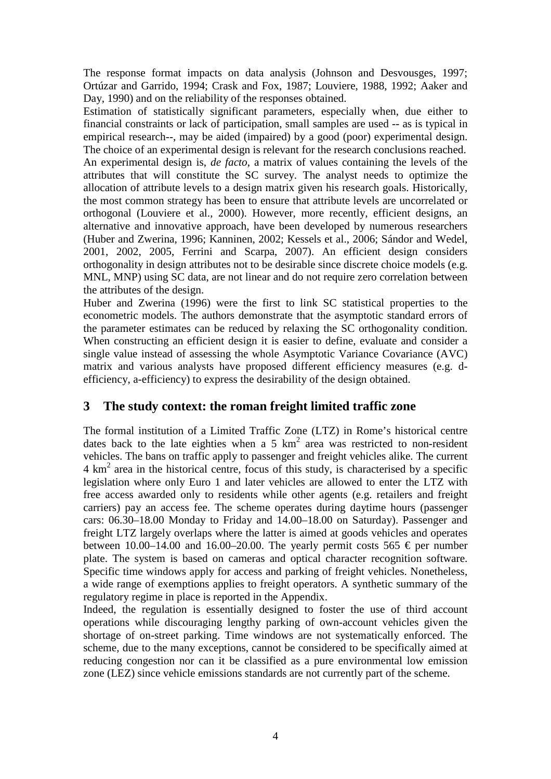The response format impacts on data analysis (Johnson and Desvousges, 1997; Ortúzar and Garrido, 1994; Crask and Fox, 1987; Louviere, 1988, 1992; Aaker and Day, 1990) and on the reliability of the responses obtained.

Estimation of statistically significant parameters, especially when, due either to financial constraints or lack of participation, small samples are used -- as is typical in empirical research--, may be aided (impaired) by a good (poor) experimental design. The choice of an experimental design is relevant for the research conclusions reached. An experimental design is, *de facto*, a matrix of values containing the levels of the attributes that will constitute the SC survey. The analyst needs to optimize the allocation of attribute levels to a design matrix given his research goals. Historically, the most common strategy has been to ensure that attribute levels are uncorrelated or orthogonal (Louviere et al., 2000). However, more recently, efficient designs, an alternative and innovative approach, have been developed by numerous researchers (Huber and Zwerina, 1996; Kanninen, 2002; Kessels et al., 2006; Sándor and Wedel, 2001, 2002, 2005, Ferrini and Scarpa, 2007). An efficient design considers orthogonality in design attributes not to be desirable since discrete choice models (e.g. MNL, MNP) using SC data, are not linear and do not require zero correlation between the attributes of the design.

Huber and Zwerina (1996) were the first to link SC statistical properties to the econometric models. The authors demonstrate that the asymptotic standard errors of the parameter estimates can be reduced by relaxing the SC orthogonality condition. When constructing an efficient design it is easier to define, evaluate and consider a single value instead of assessing the whole Asymptotic Variance Covariance (AVC) matrix and various analysts have proposed different efficiency measures (e.g. defficiency, a-efficiency) to express the desirability of the design obtained.

## **3 The study context: the roman freight limited traffic zone**

The formal institution of a Limited Traffic Zone (LTZ) in Rome's historical centre dates back to the late eighties when a 5  $km^2$  area was restricted to non-resident vehicles. The bans on traffic apply to passenger and freight vehicles alike. The current 4 km<sup>2</sup> area in the historical centre, focus of this study, is characterised by a specific legislation where only Euro 1 and later vehicles are allowed to enter the LTZ with free access awarded only to residents while other agents (e.g. retailers and freight carriers) pay an access fee. The scheme operates during daytime hours (passenger cars: 06.30–18.00 Monday to Friday and 14.00–18.00 on Saturday). Passenger and freight LTZ largely overlaps where the latter is aimed at goods vehicles and operates between 10.00–14.00 and 16.00–20.00. The yearly permit costs 565  $\epsilon$  per number plate. The system is based on cameras and optical character recognition software. Specific time windows apply for access and parking of freight vehicles. Nonetheless, a wide range of exemptions applies to freight operators. A synthetic summary of the regulatory regime in place is reported in the Appendix.

Indeed, the regulation is essentially designed to foster the use of third account operations while discouraging lengthy parking of own-account vehicles given the shortage of on-street parking. Time windows are not systematically enforced. The scheme, due to the many exceptions, cannot be considered to be specifically aimed at reducing congestion nor can it be classified as a pure environmental low emission zone (LEZ) since vehicle emissions standards are not currently part of the scheme.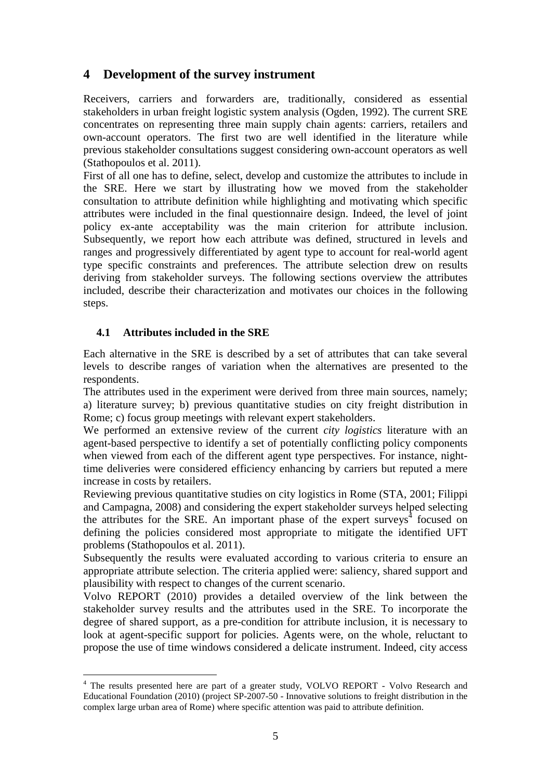# **4 Development of the survey instrument**

Receivers, carriers and forwarders are, traditionally, considered as essential stakeholders in urban freight logistic system analysis (Ogden, 1992). The current SRE concentrates on representing three main supply chain agents: carriers, retailers and own-account operators. The first two are well identified in the literature while previous stakeholder consultations suggest considering own-account operators as well (Stathopoulos et al. 2011).

First of all one has to define, select, develop and customize the attributes to include in the SRE. Here we start by illustrating how we moved from the stakeholder consultation to attribute definition while highlighting and motivating which specific attributes were included in the final questionnaire design. Indeed, the level of joint policy ex-ante acceptability was the main criterion for attribute inclusion. Subsequently, we report how each attribute was defined, structured in levels and ranges and progressively differentiated by agent type to account for real-world agent type specific constraints and preferences. The attribute selection drew on results deriving from stakeholder surveys. The following sections overview the attributes included, describe their characterization and motivates our choices in the following steps.

## **4.1 Attributes included in the SRE**

Each alternative in the SRE is described by a set of attributes that can take several levels to describe ranges of variation when the alternatives are presented to the respondents.

The attributes used in the experiment were derived from three main sources, namely; a) literature survey; b) previous quantitative studies on city freight distribution in Rome; c) focus group meetings with relevant expert stakeholders.

We performed an extensive review of the current *city logistics* literature with an agent-based perspective to identify a set of potentially conflicting policy components when viewed from each of the different agent type perspectives. For instance, nighttime deliveries were considered efficiency enhancing by carriers but reputed a mere increase in costs by retailers.

Reviewing previous quantitative studies on city logistics in Rome (STA, 2001; Filippi and Campagna, 2008) and considering the expert stakeholder surveys helped selecting the attributes for the SRE. An important phase of the expert surveys $4$  focused on defining the policies considered most appropriate to mitigate the identified UFT problems (Stathopoulos et al. 2011).

Subsequently the results were evaluated according to various criteria to ensure an appropriate attribute selection. The criteria applied were: saliency, shared support and plausibility with respect to changes of the current scenario.

Volvo REPORT (2010) provides a detailed overview of the link between the stakeholder survey results and the attributes used in the SRE. To incorporate the degree of shared support, as a pre-condition for attribute inclusion, it is necessary to look at agent-specific support for policies. Agents were, on the whole, reluctant to propose the use of time windows considered a delicate instrument. Indeed, city access

 $\overline{a}$ <sup>4</sup> The results presented here are part of a greater study, VOLVO REPORT - Volvo Research and Educational Foundation (2010) (project SP-2007-50 - Innovative solutions to freight distribution in the complex large urban area of Rome) where specific attention was paid to attribute definition.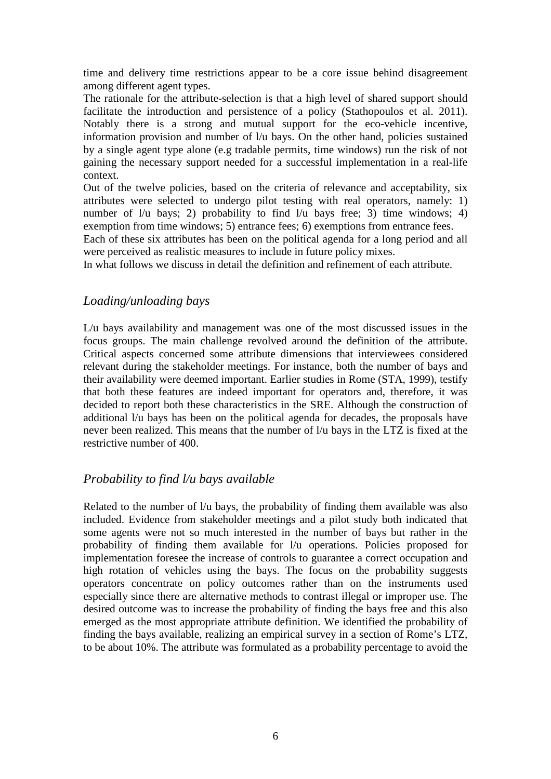time and delivery time restrictions appear to be a core issue behind disagreement among different agent types.

The rationale for the attribute-selection is that a high level of shared support should facilitate the introduction and persistence of a policy (Stathopoulos et al. 2011). Notably there is a strong and mutual support for the eco-vehicle incentive, information provision and number of l/u bays. On the other hand, policies sustained by a single agent type alone (e.g tradable permits, time windows) run the risk of not gaining the necessary support needed for a successful implementation in a real-life context.

Out of the twelve policies, based on the criteria of relevance and acceptability, six attributes were selected to undergo pilot testing with real operators, namely: 1) number of  $1/u$  bays; 2) probability to find  $1/u$  bays free; 3) time windows; 4) exemption from time windows; 5) entrance fees; 6) exemptions from entrance fees.

Each of these six attributes has been on the political agenda for a long period and all were perceived as realistic measures to include in future policy mixes.

In what follows we discuss in detail the definition and refinement of each attribute.

## *Loading/unloading bays*

L/u bays availability and management was one of the most discussed issues in the focus groups. The main challenge revolved around the definition of the attribute. Critical aspects concerned some attribute dimensions that interviewees considered relevant during the stakeholder meetings. For instance, both the number of bays and their availability were deemed important. Earlier studies in Rome (STA, 1999), testify that both these features are indeed important for operators and, therefore, it was decided to report both these characteristics in the SRE. Although the construction of additional l/u bays has been on the political agenda for decades, the proposals have never been realized. This means that the number of l/u bays in the LTZ is fixed at the restrictive number of 400.

## *Probability to find l/u bays available*

Related to the number of  $1/u$  bays, the probability of finding them available was also included. Evidence from stakeholder meetings and a pilot study both indicated that some agents were not so much interested in the number of bays but rather in the probability of finding them available for l/u operations. Policies proposed for implementation foresee the increase of controls to guarantee a correct occupation and high rotation of vehicles using the bays. The focus on the probability suggests operators concentrate on policy outcomes rather than on the instruments used especially since there are alternative methods to contrast illegal or improper use. The desired outcome was to increase the probability of finding the bays free and this also emerged as the most appropriate attribute definition. We identified the probability of finding the bays available, realizing an empirical survey in a section of Rome's LTZ, to be about 10%. The attribute was formulated as a probability percentage to avoid the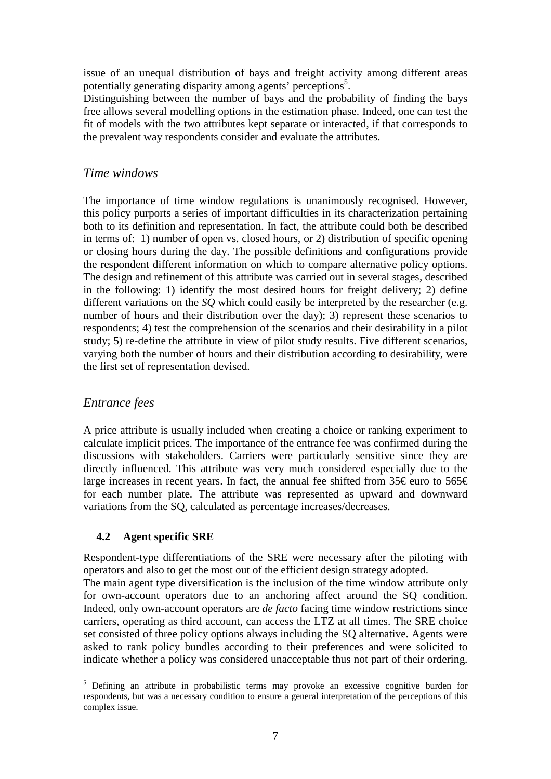issue of an unequal distribution of bays and freight activity among different areas potentially generating disparity among agents' perceptions<sup>5</sup>.

Distinguishing between the number of bays and the probability of finding the bays free allows several modelling options in the estimation phase. Indeed, one can test the fit of models with the two attributes kept separate or interacted, if that corresponds to the prevalent way respondents consider and evaluate the attributes.

## *Time windows*

The importance of time window regulations is unanimously recognised. However, this policy purports a series of important difficulties in its characterization pertaining both to its definition and representation. In fact, the attribute could both be described in terms of: 1) number of open vs. closed hours, or 2) distribution of specific opening or closing hours during the day. The possible definitions and configurations provide the respondent different information on which to compare alternative policy options. The design and refinement of this attribute was carried out in several stages, described in the following: 1) identify the most desired hours for freight delivery; 2) define different variations on the *SQ* which could easily be interpreted by the researcher (e.g. number of hours and their distribution over the day); 3) represent these scenarios to respondents; 4) test the comprehension of the scenarios and their desirability in a pilot study; 5) re-define the attribute in view of pilot study results. Five different scenarios, varying both the number of hours and their distribution according to desirability, were the first set of representation devised.

## *Entrance fees*

 $\overline{a}$ 

A price attribute is usually included when creating a choice or ranking experiment to calculate implicit prices. The importance of the entrance fee was confirmed during the discussions with stakeholders. Carriers were particularly sensitive since they are directly influenced. This attribute was very much considered especially due to the large increases in recent years. In fact, the annual fee shifted from  $35 \in \text{euro to } 565 \in$ for each number plate. The attribute was represented as upward and downward variations from the SQ, calculated as percentage increases/decreases.

## **4.2 Agent specific SRE**

Respondent-type differentiations of the SRE were necessary after the piloting with operators and also to get the most out of the efficient design strategy adopted.

The main agent type diversification is the inclusion of the time window attribute only for own-account operators due to an anchoring affect around the SQ condition. Indeed, only own-account operators are *de facto* facing time window restrictions since carriers, operating as third account, can access the LTZ at all times. The SRE choice set consisted of three policy options always including the SQ alternative. Agents were asked to rank policy bundles according to their preferences and were solicited to indicate whether a policy was considered unacceptable thus not part of their ordering.

<sup>&</sup>lt;sup>5</sup> Defining an attribute in probabilistic terms may provoke an excessive cognitive burden for respondents, but was a necessary condition to ensure a general interpretation of the perceptions of this complex issue.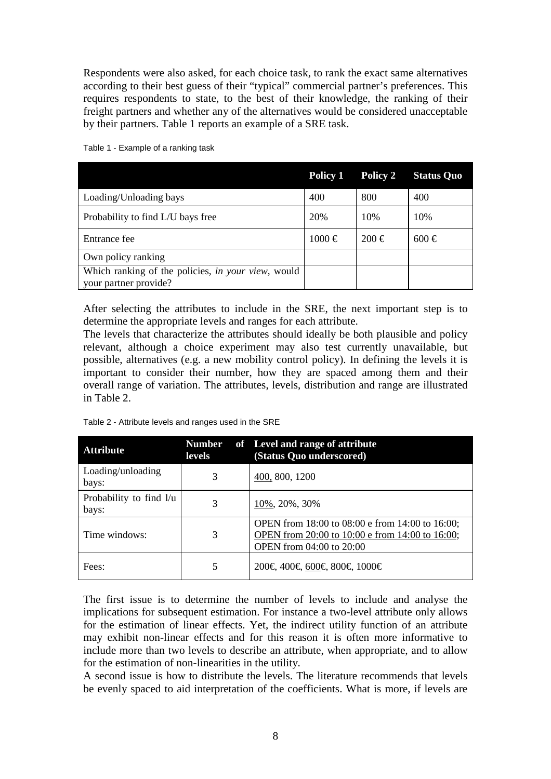Respondents were also asked, for each choice task, to rank the exact same alternatives according to their best guess of their "typical" commercial partner's preferences. This requires respondents to state, to the best of their knowledge, the ranking of their freight partners and whether any of the alternatives would be considered unacceptable by their partners. Table 1 reports an example of a SRE task.

|                                                                             | Policy 1   | Policy 2  | <b>Status Quo</b> |
|-----------------------------------------------------------------------------|------------|-----------|-------------------|
| Loading/Unloading bays                                                      | 400        | 800       | 400               |
| Probability to find L/U bays free                                           | 20%        | 10%       | 10%               |
| Entrance fee                                                                | $1000 \in$ | $200 \in$ | $600 \in$         |
| Own policy ranking                                                          |            |           |                   |
| Which ranking of the policies, in your view, would<br>your partner provide? |            |           |                   |

Table 1 - Example of a ranking task

After selecting the attributes to include in the SRE, the next important step is to determine the appropriate levels and ranges for each attribute.

The levels that characterize the attributes should ideally be both plausible and policy relevant, although a choice experiment may also test currently unavailable, but possible, alternatives (e.g. a new mobility control policy). In defining the levels it is important to consider their number, how they are spaced among them and their overall range of variation. The attributes, levels, distribution and range are illustrated in Table 2.

| <b>Attribute</b>                 | levels | Number of Level and range of attribute<br>(Status Quo underscored)                                                                    |
|----------------------------------|--------|---------------------------------------------------------------------------------------------------------------------------------------|
| Loading/unloading<br>bays:       | 3      | 400, 800, 1200                                                                                                                        |
| Probability to find l/u<br>bays: | 3      | 10\%, 20\%, 30\%                                                                                                                      |
| Time windows:                    | 3      | OPEN from 18:00 to 08:00 e from 14:00 to 16:00;<br>OPEN from 20:00 to 10:00 e from 14:00 to 16:00;<br><b>OPEN</b> from 04:00 to 20:00 |
| Fees:                            | 5      | 200€, 400€, 60€, 800€, 1000€                                                                                                          |

Table 2 - Attribute levels and ranges used in the SRE

The first issue is to determine the number of levels to include and analyse the implications for subsequent estimation. For instance a two-level attribute only allows for the estimation of linear effects. Yet, the indirect utility function of an attribute may exhibit non-linear effects and for this reason it is often more informative to include more than two levels to describe an attribute, when appropriate, and to allow for the estimation of non-linearities in the utility.

A second issue is how to distribute the levels. The literature recommends that levels be evenly spaced to aid interpretation of the coefficients. What is more, if levels are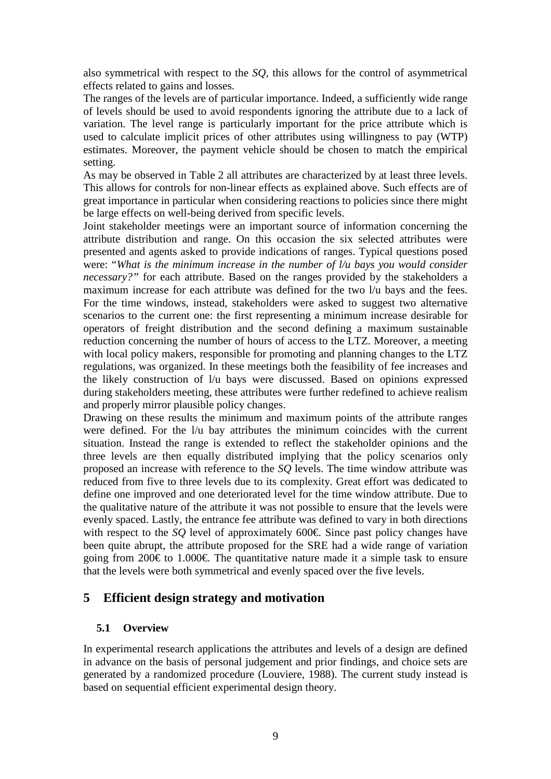also symmetrical with respect to the *SQ*, this allows for the control of asymmetrical effects related to gains and losses.

The ranges of the levels are of particular importance. Indeed, a sufficiently wide range of levels should be used to avoid respondents ignoring the attribute due to a lack of variation. The level range is particularly important for the price attribute which is used to calculate implicit prices of other attributes using willingness to pay (WTP) estimates. Moreover, the payment vehicle should be chosen to match the empirical setting.

As may be observed in Table 2 all attributes are characterized by at least three levels. This allows for controls for non-linear effects as explained above. Such effects are of great importance in particular when considering reactions to policies since there might be large effects on well-being derived from specific levels.

Joint stakeholder meetings were an important source of information concerning the attribute distribution and range. On this occasion the six selected attributes were presented and agents asked to provide indications of ranges. Typical questions posed were: "*What is the minimum increase in the number of l/u bays you would consider necessary?"* for each attribute. Based on the ranges provided by the stakeholders a maximum increase for each attribute was defined for the two l/u bays and the fees. For the time windows, instead, stakeholders were asked to suggest two alternative scenarios to the current one: the first representing a minimum increase desirable for operators of freight distribution and the second defining a maximum sustainable reduction concerning the number of hours of access to the LTZ. Moreover, a meeting with local policy makers, responsible for promoting and planning changes to the LTZ regulations, was organized. In these meetings both the feasibility of fee increases and the likely construction of l/u bays were discussed. Based on opinions expressed during stakeholders meeting, these attributes were further redefined to achieve realism and properly mirror plausible policy changes.

Drawing on these results the minimum and maximum points of the attribute ranges were defined. For the  $1/u$  bay attributes the minimum coincides with the current situation. Instead the range is extended to reflect the stakeholder opinions and the three levels are then equally distributed implying that the policy scenarios only proposed an increase with reference to the *SQ* levels. The time window attribute was reduced from five to three levels due to its complexity. Great effort was dedicated to define one improved and one deteriorated level for the time window attribute. Due to the qualitative nature of the attribute it was not possible to ensure that the levels were evenly spaced. Lastly, the entrance fee attribute was defined to vary in both directions with respect to the *SQ* level of approximately 600€. Since past policy changes have been quite abrupt, the attribute proposed for the SRE had a wide range of variation going from 200€ to 1.000€. The quantitative nature made it a simple task to ensure that the levels were both symmetrical and evenly spaced over the five levels.

## **5 Efficient design strategy and motivation**

## **5.1 Overview**

In experimental research applications the attributes and levels of a design are defined in advance on the basis of personal judgement and prior findings, and choice sets are generated by a randomized procedure (Louviere, 1988). The current study instead is based on sequential efficient experimental design theory.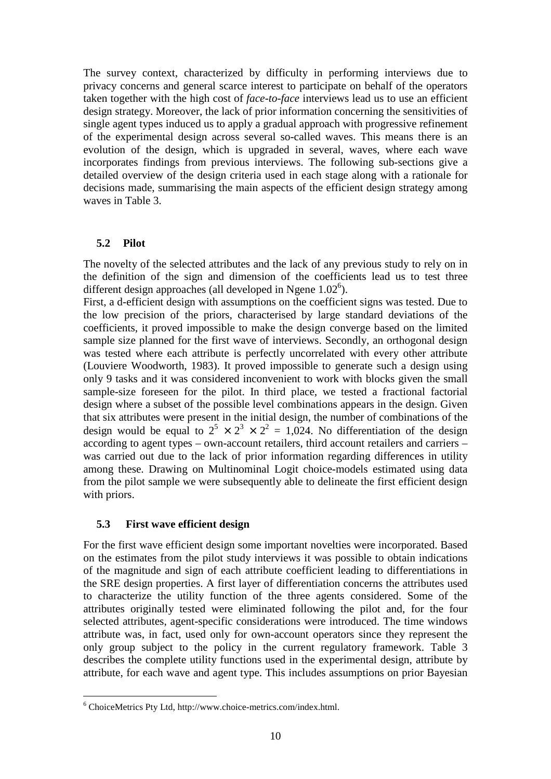The survey context, characterized by difficulty in performing interviews due to privacy concerns and general scarce interest to participate on behalf of the operators taken together with the high cost of *face-to-face* interviews lead us to use an efficient design strategy. Moreover, the lack of prior information concerning the sensitivities of single agent types induced us to apply a gradual approach with progressive refinement of the experimental design across several so-called waves. This means there is an evolution of the design, which is upgraded in several, waves, where each wave incorporates findings from previous interviews. The following sub-sections give a detailed overview of the design criteria used in each stage along with a rationale for decisions made, summarising the main aspects of the efficient design strategy among waves in Table 3.

#### **5.2 Pilot**

The novelty of the selected attributes and the lack of any previous study to rely on in the definition of the sign and dimension of the coefficients lead us to test three different design approaches (all developed in Ngene  $1.02^6$ ).

First, a d-efficient design with assumptions on the coefficient signs was tested. Due to the low precision of the priors, characterised by large standard deviations of the coefficients, it proved impossible to make the design converge based on the limited sample size planned for the first wave of interviews. Secondly, an orthogonal design was tested where each attribute is perfectly uncorrelated with every other attribute (Louviere Woodworth, 1983). It proved impossible to generate such a design using only 9 tasks and it was considered inconvenient to work with blocks given the small sample-size foreseen for the pilot. In third place, we tested a fractional factorial design where a subset of the possible level combinations appears in the design. Given that six attributes were present in the initial design, the number of combinations of the design would be equal to  $2^5 \times 2^3 \times 2^2 = 1,024$ . No differentiation of the design according to agent types – own-account retailers, third account retailers and carriers – was carried out due to the lack of prior information regarding differences in utility among these. Drawing on Multinominal Logit choice-models estimated using data from the pilot sample we were subsequently able to delineate the first efficient design with priors.

#### **5.3 First wave efficient design**

 $\overline{a}$ 

For the first wave efficient design some important novelties were incorporated. Based on the estimates from the pilot study interviews it was possible to obtain indications of the magnitude and sign of each attribute coefficient leading to differentiations in the SRE design properties. A first layer of differentiation concerns the attributes used to characterize the utility function of the three agents considered. Some of the attributes originally tested were eliminated following the pilot and, for the four selected attributes, agent-specific considerations were introduced. The time windows attribute was, in fact, used only for own-account operators since they represent the only group subject to the policy in the current regulatory framework. Table 3 describes the complete utility functions used in the experimental design, attribute by attribute, for each wave and agent type. This includes assumptions on prior Bayesian

<sup>6</sup> ChoiceMetrics Pty Ltd, http://www.choice-metrics.com/index.html.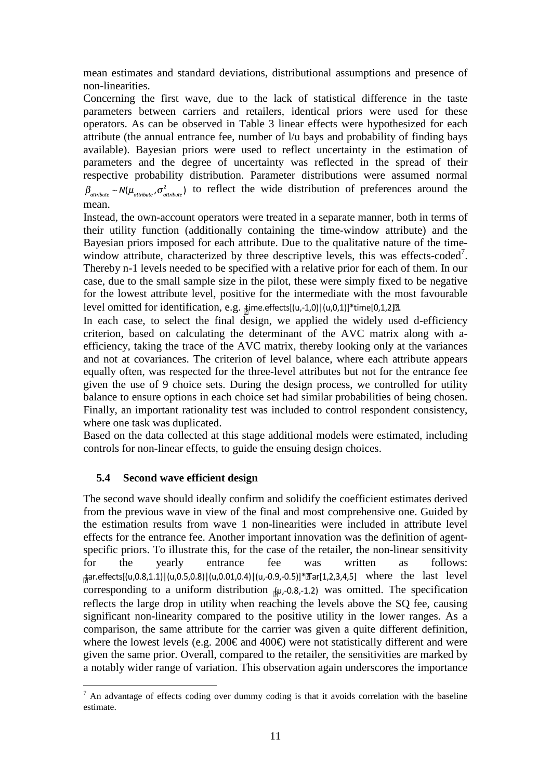mean estimates and standard deviations, distributional assumptions and presence of non-linearities.

Concerning the first wave, due to the lack of statistical difference in the taste parameters between carriers and retailers, identical priors were used for these operators. As can be observed in Table 3 linear effects were hypothesized for each attribute (the annual entrance fee, number of l/u bays and probability of finding bays available). Bayesian priors were used to reflect uncertainty in the estimation of parameters and the degree of uncertainty was reflected in the spread of their respective probability distribution. Parameter distributions were assumed normal  $\beta_{attribute} \sim N(\mu_{attribute}, \sigma_{attribute}^2)$  to reflect the wide distribution of preferences around the mean.

Instead, the own-account operators were treated in a separate manner, both in terms of their utility function (additionally containing the time-window attribute) and the Bayesian priors imposed for each attribute. Due to the qualitative nature of the timewindow attribute, characterized by three descriptive levels, this was effects-coded<sup>7</sup>. Thereby n-1 levels needed to be specified with a relative prior for each of them. In our case, due to the small sample size in the pilot, these were simply fixed to be negative for the lowest attribute level, positive for the intermediate with the most favourable level omitted for identification, e.g.  $\frac{1}{2}$ jime.effects[(u,-1,0)|(u,0,1)]\*time[0,1,2] $\mathbb{R}$ .

In each case, to select the final design, we applied the widely used d-efficiency criterion, based on calculating the determinant of the AVC matrix along with aefficiency, taking the trace of the AVC matrix, thereby looking only at the variances and not at covariances. The criterion of level balance, where each attribute appears equally often, was respected for the three-level attributes but not for the entrance fee given the use of 9 choice sets. During the design process, we controlled for utility balance to ensure options in each choice set had similar probabilities of being chosen. Finally, an important rationality test was included to control respondent consistency, where one task was duplicated.

Based on the data collected at this stage additional models were estimated, including controls for non-linear effects, to guide the ensuing design choices.

## **5.4 Second wave efficient design**

The second wave should ideally confirm and solidify the coefficient estimates derived from the previous wave in view of the final and most comprehensive one. Guided by the estimation results from wave 1 non-linearities were included in attribute level effects for the entrance fee. Another important innovation was the definition of agentspecific priors. To illustrate this, for the case of the retailer, the non-linear sensitivity for the yearly entrance fee was written as follows: tar.effects[(u,0.8,1.1)|(u,0.5,0.8)|(u,0.01,0.4)|(u,-0.9,-0.5)]\*Tar[1,2,3,4,5] where the last level corresponding to a uniform distribution  $\mu$ , 0.8, 1.2) was omitted. The specification reflects the large drop in utility when reaching the levels above the SQ fee, causing significant non-linearity compared to the positive utility in the lower ranges. As a comparison, the same attribute for the carrier was given a quite different definition, where the lowest levels (e.g. 200€ and 400€) were not statistically different and were given the same prior. Overall, compared to the retailer, the sensitivities are marked by a notably wider range of variation. This observation again underscores the importance

 $\overline{a}$  $<sup>7</sup>$  An advantage of effects coding over dummy coding is that it avoids correlation with the baseline</sup> estimate.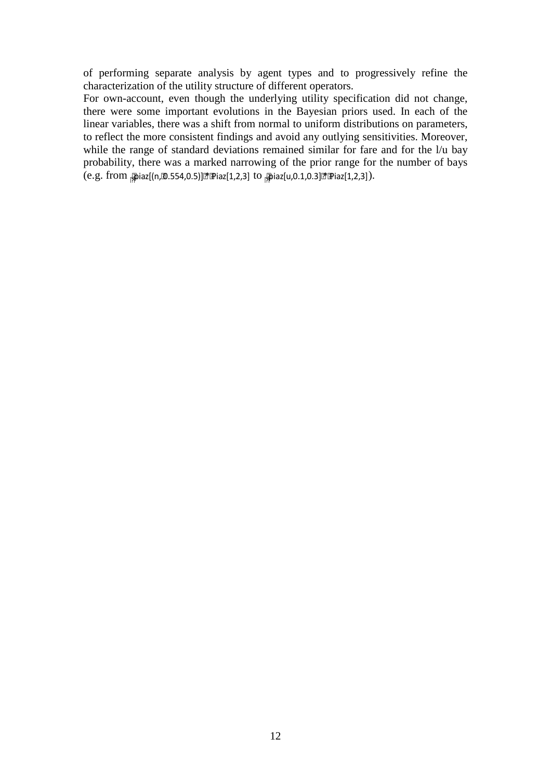of performing separate analysis by agent types and to progressively refine the characterization of the utility structure of different operators.

For own-account, even though the underlying utility specification did not change, there were some important evolutions in the Bayesian priors used. In each of the linear variables, there was a shift from normal to uniform distributions on parameters, to reflect the more consistent findings and avoid any outlying sensitivities. Moreover, while the range of standard deviations remained similar for fare and for the  $1/u$  bay probability, there was a marked narrowing of the prior range for the number of bays (e.g. from <sub>刚</sub>iaz[(n,හ.554,0.5)]한[Piaz[1,2,3] to <sub>|</sub>@iaz[u,0.1,0.3][한[Piaz[1,2,3]).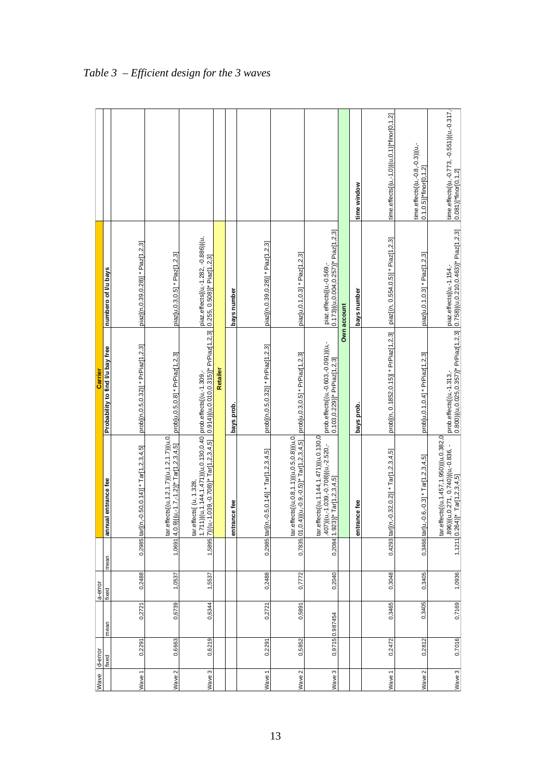| Wave              | d-error |                 | a-error |      |                                                                                                                             | Carrier                                                                                                                                           |                                                                                    |                                                                    |
|-------------------|---------|-----------------|---------|------|-----------------------------------------------------------------------------------------------------------------------------|---------------------------------------------------------------------------------------------------------------------------------------------------|------------------------------------------------------------------------------------|--------------------------------------------------------------------|
|                   | fixed   | mean            | fixed   | mean | annual entrance fee                                                                                                         | Probability to find I/u bay free                                                                                                                  | numbero of I/u bays                                                                |                                                                    |
|                   |         |                 |         |      | 0,2985 tar(n, 0.50,0.14)] * Tar[1,2,3,4,5]                                                                                  |                                                                                                                                                   |                                                                                    |                                                                    |
| Wave <sub>1</sub> | 0,2291  | 0,2721          | 0,2488  |      |                                                                                                                             | prob[(n, 0.5, 0.32)] * PrPiaz[1, 2, 3]                                                                                                            | piaz[(n,0.39,0.28)] * Piaz[1,2,3]                                                  |                                                                    |
| Wave 2            | 0,6663  | 0,6739          | 1,0537  |      | tar.effects[(u,1.2,1.7)](u,1.2,1.7)](u,0.<br>1,0691 4,0.9) (u,-1.7,-1.2)]* Tar[1,2,3,4,5]                                   | prob[u,0.5,0.8] * PrPiaz[1,2,3]                                                                                                                   | piaz[u, 0.3, 0.5] * Piaz[1, 2, 3]                                                  |                                                                    |
| Wave 3            | 0,6219  | 0,6344          | 1,5537  |      | 1,5895 7) ((u,-1.039,-0.708)]* Tar[1,2,3,4,5]<br>tar.effects[(u, 1.328,                                                     | 1.711) (u,1.144,1.471) (u,0.130,0.40  prob.effects (u,-1.309,-<br>7) (u,-1.039,-0.708)]* Tar[1,2,3,4,5]    0.914) (u,0.010,0.315)]* PrPiaz[1,2,3] | piaz.effects[(u,-1.282, -0.886)](u,<br>$0.255, 0.508$ ]* Piaz[1,2,3]               |                                                                    |
|                   |         |                 |         |      |                                                                                                                             | Retailer                                                                                                                                          |                                                                                    |                                                                    |
|                   |         |                 |         |      | entrance fee                                                                                                                | bays prob.                                                                                                                                        | bays number                                                                        |                                                                    |
| Wave <sub>1</sub> | 0,2291  | 0,2721          | 0,2488  |      | 0,2985 tar[(n, -0.5, 0.14)] * Tar[1,2,3,4,5]                                                                                | prob[(n,0.5,0.32)] * PrPiaz[1,2,3]                                                                                                                | piaz[(n,0.39,0.28)] * Piaz[1,2,3]                                                  |                                                                    |
| Wave 2            | 0,5852  | 0,5891          | 0,7772  |      | tar.effects[(u,0.8,1.1)](u,0.5,0.8)](u,0.<br>0,7835 01,0.4))(u,-0.9,-0.5)]* Tar[1,2,3,4,5]                                  | prob[u,0.3,0.5] * PrPiaz[1,2,3]                                                                                                                   | piaz[u, 0.1, 0.3] * Piaz[1, 2, 3]                                                  |                                                                    |
| Wave 3            |         | 0,9715 0.987454 | 0,2040  |      | tar.effects[(u,1.144,1.471) (u,0.130,0<br>$(u, -1.039, -0.708)$ $(u, -2.520, -$<br>0,2084 1.923)]* Tar[1,2,3,4,5]<br>1(504. | prob.effects[(u,-0.603,-0.091)](u,-<br>$0.103, 0.229$ ]* PrPiaz[1,2,3]                                                                            | $0.173$ ) $($ u $, 0.004$ , $0.257$ )] $*$ Piaz[1,2,3]<br>piaz.effects[(u,-0.569,- |                                                                    |
|                   |         |                 |         |      |                                                                                                                             |                                                                                                                                                   | Own account                                                                        |                                                                    |
|                   |         |                 |         |      | entrance fee                                                                                                                | bays prob.                                                                                                                                        | bays number                                                                        | time window                                                        |
| Wave1             | 0,2472  | 0,3465          | 0,3048  |      | 0,4293 tar[(n, -0.32, 0.2)] * Tar[1,2, 3, 4, 5]                                                                             | prob[(n, 0.1852,0.15)] * PrPiaz[1,2,3]                                                                                                            | piaz[(n, 0.554,0.5)] * Piaz[1,2,3]                                                 | time.effects[(u,-1,0) (u,0,1)]*finor[0,1,2]                        |
| Wave 2            | 0,2812  | 0,3405          | 0,3405  |      | 0,3466 tar[u,-0.6,-0.3] * Tar[1,2,3,4,5]                                                                                    | prob[u,0.1,0.4] * PrPiaz[1,2,3]                                                                                                                   | piaz[u, 0.1, 0.3] * Piaz[1, 2, 3]                                                  | time.effects[(u,-0.8,-0.3)](u,-<br>$0.1, 0.5$ ]*finor $[0, 1, 2]$  |
| Wave 3            | 0,7016  | 0,7169          | 1,0936  |      | tar.effects[(u,1.457,1.950) (u,0.382,0<br>896))(u,0.271, 0.740))(u,-0.836, -<br>1,1211 0.264)]* Tar[1,2,3,4,5]              | prob.effects[(u,-1.313,-<br>0.800) (u,0.025,0.357)]* PrPiaz[1,2,3]  0.758) (u,0.210,0.463)]* Piaz[1,2,3]                                          |                                                                                    | time.effects[(u,-0.773, -0.551)](u,-0.317,<br>0.081)]*finor[0,1,2] |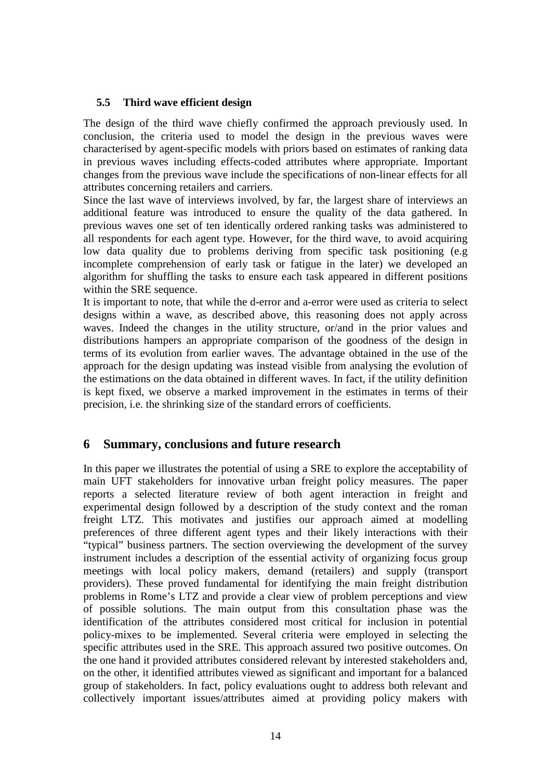## **5.5 Third wave efficient design**

The design of the third wave chiefly confirmed the approach previously used. In conclusion, the criteria used to model the design in the previous waves were characterised by agent-specific models with priors based on estimates of ranking data in previous waves including effects-coded attributes where appropriate. Important changes from the previous wave include the specifications of non-linear effects for all attributes concerning retailers and carriers.

Since the last wave of interviews involved, by far, the largest share of interviews an additional feature was introduced to ensure the quality of the data gathered. In previous waves one set of ten identically ordered ranking tasks was administered to all respondents for each agent type. However, for the third wave, to avoid acquiring low data quality due to problems deriving from specific task positioning (e.g incomplete comprehension of early task or fatigue in the later) we developed an algorithm for shuffling the tasks to ensure each task appeared in different positions within the SRE sequence.

It is important to note, that while the d-error and a-error were used as criteria to select designs within a wave, as described above, this reasoning does not apply across waves. Indeed the changes in the utility structure, or/and in the prior values and distributions hampers an appropriate comparison of the goodness of the design in terms of its evolution from earlier waves. The advantage obtained in the use of the approach for the design updating was instead visible from analysing the evolution of the estimations on the data obtained in different waves. In fact, if the utility definition is kept fixed, we observe a marked improvement in the estimates in terms of their precision, i.e. the shrinking size of the standard errors of coefficients.

# **6 Summary, conclusions and future research**

In this paper we illustrates the potential of using a SRE to explore the acceptability of main UFT stakeholders for innovative urban freight policy measures. The paper reports a selected literature review of both agent interaction in freight and experimental design followed by a description of the study context and the roman freight LTZ. This motivates and justifies our approach aimed at modelling preferences of three different agent types and their likely interactions with their "typical" business partners. The section overviewing the development of the survey instrument includes a description of the essential activity of organizing focus group meetings with local policy makers, demand (retailers) and supply (transport providers). These proved fundamental for identifying the main freight distribution problems in Rome's LTZ and provide a clear view of problem perceptions and view of possible solutions. The main output from this consultation phase was the identification of the attributes considered most critical for inclusion in potential policy-mixes to be implemented. Several criteria were employed in selecting the specific attributes used in the SRE. This approach assured two positive outcomes. On the one hand it provided attributes considered relevant by interested stakeholders and, on the other, it identified attributes viewed as significant and important for a balanced group of stakeholders. In fact, policy evaluations ought to address both relevant and collectively important issues/attributes aimed at providing policy makers with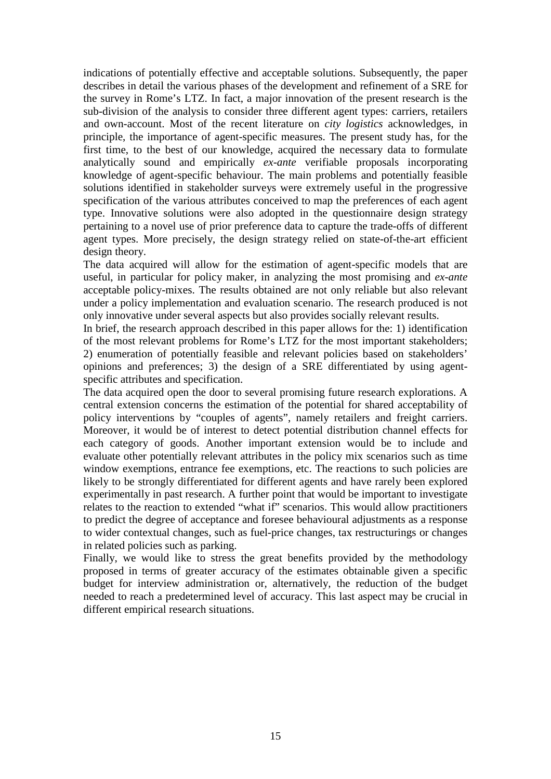indications of potentially effective and acceptable solutions. Subsequently, the paper describes in detail the various phases of the development and refinement of a SRE for the survey in Rome's LTZ. In fact, a major innovation of the present research is the sub-division of the analysis to consider three different agent types: carriers, retailers and own-account. Most of the recent literature on *city logistics* acknowledges, in principle, the importance of agent-specific measures. The present study has, for the first time, to the best of our knowledge, acquired the necessary data to formulate analytically sound and empirically *ex-ante* verifiable proposals incorporating knowledge of agent-specific behaviour. The main problems and potentially feasible solutions identified in stakeholder surveys were extremely useful in the progressive specification of the various attributes conceived to map the preferences of each agent type. Innovative solutions were also adopted in the questionnaire design strategy pertaining to a novel use of prior preference data to capture the trade-offs of different agent types. More precisely, the design strategy relied on state-of-the-art efficient design theory.

The data acquired will allow for the estimation of agent-specific models that are useful, in particular for policy maker, in analyzing the most promising and *ex-ante*  acceptable policy-mixes. The results obtained are not only reliable but also relevant under a policy implementation and evaluation scenario. The research produced is not only innovative under several aspects but also provides socially relevant results.

In brief, the research approach described in this paper allows for the: 1) identification of the most relevant problems for Rome's LTZ for the most important stakeholders; 2) enumeration of potentially feasible and relevant policies based on stakeholders' opinions and preferences; 3) the design of a SRE differentiated by using agentspecific attributes and specification.

The data acquired open the door to several promising future research explorations. A central extension concerns the estimation of the potential for shared acceptability of policy interventions by "couples of agents", namely retailers and freight carriers. Moreover, it would be of interest to detect potential distribution channel effects for each category of goods. Another important extension would be to include and evaluate other potentially relevant attributes in the policy mix scenarios such as time window exemptions, entrance fee exemptions, etc. The reactions to such policies are likely to be strongly differentiated for different agents and have rarely been explored experimentally in past research. A further point that would be important to investigate relates to the reaction to extended "what if" scenarios. This would allow practitioners to predict the degree of acceptance and foresee behavioural adjustments as a response to wider contextual changes, such as fuel-price changes, tax restructurings or changes in related policies such as parking.

Finally, we would like to stress the great benefits provided by the methodology proposed in terms of greater accuracy of the estimates obtainable given a specific budget for interview administration or, alternatively, the reduction of the budget needed to reach a predetermined level of accuracy. This last aspect may be crucial in different empirical research situations.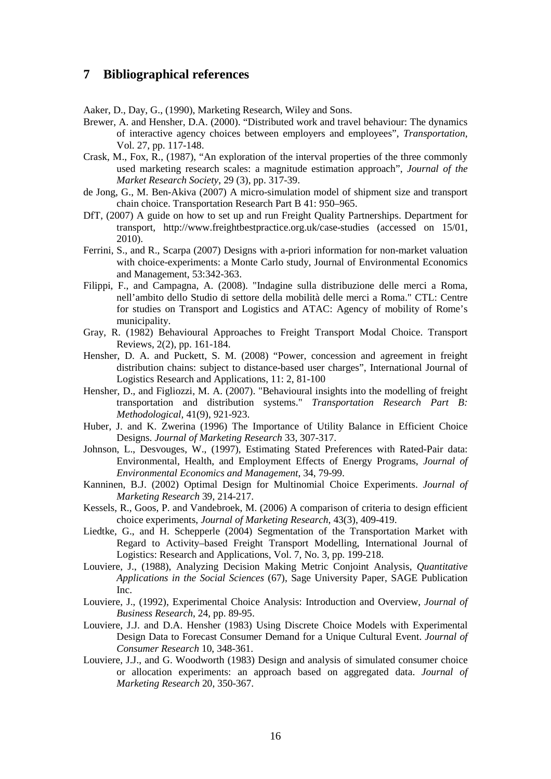## **7 Bibliographical references**

Aaker, D., Day, G., (1990), Marketing Research, Wiley and Sons.

- Brewer, A. and Hensher, D.A. (2000). "Distributed work and travel behaviour: The dynamics of interactive agency choices between employers and employees", *Transportation*, Vol. 27, pp. 117-148.
- Crask, M., Fox, R., (1987), "An exploration of the interval properties of the three commonly used marketing research scales: a magnitude estimation approach", *Journal of the Market Research Society*, 29 (3), pp. 317-39.
- de Jong, G., M. Ben-Akiva (2007) A micro-simulation model of shipment size and transport chain choice. Transportation Research Part B 41: 950–965.
- DfT, (2007) A guide on how to set up and run Freight Quality Partnerships. Department for transport, http://www.freightbestpractice.org.uk/case-studies (accessed on 15/01, 2010).
- Ferrini, S., and R., Scarpa (2007) Designs with a-priori information for non-market valuation with choice-experiments: a Monte Carlo study, Journal of Environmental Economics and Management, 53:342-363.
- Filippi, F., and Campagna, A. (2008). "Indagine sulla distribuzione delle merci a Roma, nell'ambito dello Studio di settore della mobilità delle merci a Roma." CTL: Centre for studies on Transport and Logistics and ATAC: Agency of mobility of Rome's municipality.
- Gray, R. (1982) Behavioural Approaches to Freight Transport Modal Choice. Transport Reviews, 2(2), pp. 161-184.
- Hensher, D. A. and Puckett, S. M. (2008) "Power, concession and agreement in freight distribution chains: subject to distance-based user charges", International Journal of Logistics Research and Applications, 11: 2, 81-100
- Hensher, D., and Figliozzi, M. A. (2007). "Behavioural insights into the modelling of freight transportation and distribution systems." *Transportation Research Part B: Methodological*, 41(9), 921-923.
- Huber, J. and K. Zwerina (1996) The Importance of Utility Balance in Efficient Choice Designs. *Journal of Marketing Research* 33, 307-317.
- Johnson, L., Desvouges, W., (1997), Estimating Stated Preferences with Rated-Pair data: Environmental, Health, and Employment Effects of Energy Programs, *Journal of Environmental Economics and Management*, 34, 79-99.
- Kanninen, B.J. (2002) Optimal Design for Multinomial Choice Experiments. *Journal of Marketing Research* 39, 214-217.
- Kessels, R., Goos, P. and Vandebroek, M. (2006) A comparison of criteria to design efficient choice experiments, *Journal of Marketing Research*, 43(3), 409-419.
- Liedtke, G., and H. Schepperle (2004) Segmentation of the Transportation Market with Regard to Activity–based Freight Transport Modelling, International Journal of Logistics: Research and Applications, Vol. 7, No. 3, pp. 199-218.
- Louviere, J., (1988), Analyzing Decision Making Metric Conjoint Analysis, *Quantitative Applications in the Social Sciences* (67), Sage University Paper, SAGE Publication Inc.
- Louviere, J., (1992), Experimental Choice Analysis: Introduction and Overview, *Journal of Business Research*, 24, pp. 89-95.
- Louviere, J.J. and D.A. Hensher (1983) Using Discrete Choice Models with Experimental Design Data to Forecast Consumer Demand for a Unique Cultural Event. *Journal of Consumer Research* 10, 348-361.
- Louviere, J.J., and G. Woodworth (1983) Design and analysis of simulated consumer choice or allocation experiments: an approach based on aggregated data. *Journal of Marketing Research* 20, 350-367.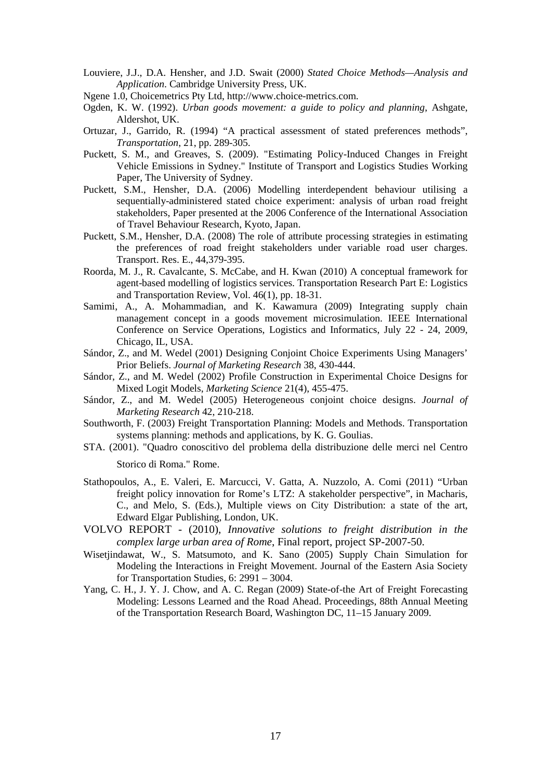- Louviere, J.J., D.A. Hensher, and J.D. Swait (2000) *Stated Choice Methods—Analysis and Application*. Cambridge University Press, UK.
- Ngene 1.0, Choicemetrics Pty Ltd, http://www.choice-metrics.com.
- Ogden, K. W. (1992). *Urban goods movement: a guide to policy and planning*, Ashgate, Aldershot, UK.
- Ortuzar, J., Garrido, R. (1994) "A practical assessment of stated preferences methods", *Transportation*, 21, pp. 289-305.
- Puckett, S. M., and Greaves, S. (2009). "Estimating Policy-Induced Changes in Freight Vehicle Emissions in Sydney." Institute of Transport and Logistics Studies Working Paper, The University of Sydney.
- Puckett, S.M., Hensher, D.A. (2006) Modelling interdependent behaviour utilising a sequentially-administered stated choice experiment: analysis of urban road freight stakeholders, Paper presented at the 2006 Conference of the International Association of Travel Behaviour Research, Kyoto, Japan.
- Puckett, S.M., Hensher, D.A. (2008) The role of attribute processing strategies in estimating the preferences of road freight stakeholders under variable road user charges. Transport. Res. E., 44,379-395.
- Roorda, M. J., R. Cavalcante, S. McCabe, and H. Kwan (2010) A conceptual framework for agent-based modelling of logistics services. Transportation Research Part E: Logistics and Transportation Review, Vol. 46(1), pp. 18-31.
- Samimi, A., A. Mohammadian, and K. Kawamura (2009) Integrating supply chain management concept in a goods movement microsimulation. IEEE International Conference on Service Operations, Logistics and Informatics, July 22 - 24, 2009, Chicago, IL, USA.
- Sándor, Z., and M. Wedel (2001) Designing Conjoint Choice Experiments Using Managers' Prior Beliefs. *Journal of Marketing Research* 38, 430-444.
- Sándor, Z., and M. Wedel (2002) Profile Construction in Experimental Choice Designs for Mixed Logit Models, *Marketing Science* 21(4), 455-475.
- Sándor, Z., and M. Wedel (2005) Heterogeneous conjoint choice designs. *Journal of Marketing Research* 42, 210-218.
- Southworth, F. (2003) Freight Transportation Planning: Models and Methods. Transportation systems planning: methods and applications, by K. G. Goulias.
- STA. (2001). "Quadro conoscitivo del problema della distribuzione delle merci nel Centro

Storico di Roma." Rome.

- Stathopoulos, A., E. Valeri, E. Marcucci, V. Gatta, A. Nuzzolo, A. Comi (2011) "Urban freight policy innovation for Rome's LTZ: A stakeholder perspective", in Macharis, C., and Melo, S. (Eds.), Multiple views on City Distribution: a state of the art, Edward Elgar Publishing, London, UK.
- VOLVO REPORT (2010), *Innovative solutions to freight distribution in the complex large urban area of Rome*, Final report, project SP-2007-50.
- Wisetjindawat, W., S. Matsumoto, and K. Sano (2005) Supply Chain Simulation for Modeling the Interactions in Freight Movement. Journal of the Eastern Asia Society for Transportation Studies, 6: 2991 – 3004.
- Yang, C. H., J. Y. J. Chow, and A. C. Regan (2009) State-of-the Art of Freight Forecasting Modeling: Lessons Learned and the Road Ahead. Proceedings, 88th Annual Meeting of the Transportation Research Board, Washington DC, 11–15 January 2009.